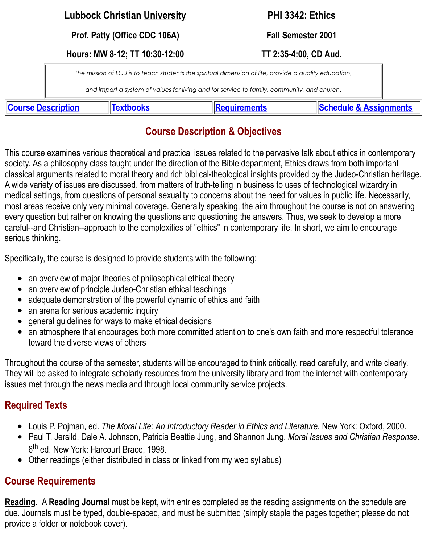*The mission of LCU is to teach students the spiritual dimension of life, provide a quality education,*

*and impart a system of values for living and for service to family, community, and church*.

**Course Description Textbooks Requirements Schedule & Assignments**

## **Course Description & Objectives**

This course examines various theoretical and practical issues related to the pervasive talk about ethics in society. As a philosophy class taught under the direction of the Bible department, Ethics draws from both classical arguments related to moral theory and rich biblical-theological insights provided by the Judeo-C [A wide variety of issue](file://webserv/faculty/Patty.Stacy/Ethics%20Syllabus%20F2001.htm#This%20course)s are dis[cussed, from](#page-0-0) matters of truth-t[elling in busines](#page-0-1)s to uses of technological v medical settings, from questions of personal sexuality to concerns about the need for values in public life. most areas receive only very minimal coverage. Generally speaking, the aim throughout the course is no every question but rather on knowing the questions and questioning the answers. Thus, we seek to deve careful--and Christian--approach to the complexities of "ethics" in contemporary life. In short, we aim to  $\epsilon$ serious thinking.

Specifically, the course is designed to provide students with the following:

- an overview of major theories of philosophical ethical theory  $\bullet$
- an overview of principle Judeo-Christian ethical teachings
- adequate demonstration of the powerful dynamic of ethics and faith  $\bullet$
- an arena for serious academic inquiry  $\bullet$
- general guidelines for ways to make ethical decisions  $\bullet$
- an atmosphere that encourages both more committed attention to one's own faith and more respected  $\bullet$ toward the diverse views of others

Throughout the course of the semester, students will be encouraged to think critically, read carefully, and They will be asked to integrate scholarly resources from the university library and from the internet with or issues met through the news media and through local community service projects.

# **Required Texts**

- Louis P. Pojman, ed. *The Moral Life: An Introductory Reader in Ethics and Literature.* New York: Oxford, 2000.
- Paul T. Jersild, Dale A. Johnson, Patricia Beattie Jung, and Shannon Jung. Moral Issues and Christian Response 6<sup>th</sup> ed. New York: Harcourt Brace, 1998.
- Other readings (either distributed in class or linked from my web syllabus)

#### <span id="page-0-0"></span>**Course Requirements**

<span id="page-0-1"></span>**Reading.** A **Reading Journal** must be kept, with entries completed as the reading assignments on the schedule due. Journals must be typed, double-spaced, and must be submitted (simply staple the pages together; provide a folder or notebook cover).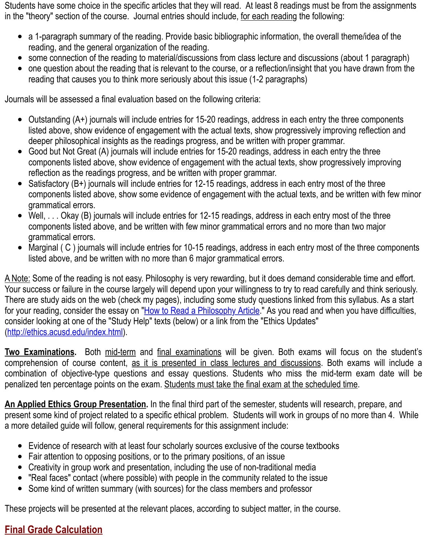reading that causes you to think more seriously about this issue (1-2 paragraphs)

Journals will be assessed a final evaluation based on the following criteria:

- Outstanding (A+) journals will include entries for 15-20 readings, address in each entry the three of listed above, show evidence of engagement with the actual texts, show progressively improving re deeper philosophical insights as the readings progress, and be written with proper grammar.
- Good but Not Great (A) journals will include entries for 15-20 readings, address in each entry the  $\bullet$ components listed above, show evidence of engagement with the actual texts, show progressively reflection as the readings progress, and be written with proper grammar.
- Satisfactory (B+) journals will include entries for 12-15 readings, address in each entry most of the components listed above, show some evidence of engagement with the actual texts, and be written with few minor grammatical errors.
- Well, ... Okay (B) journals will include entries for 12-15 readings, address in each entry most of the V components listed above, and be written with few minor grammatical errors and no more than two grammatical errors.
- Marginal ( $C$ ) journals will include entries for 10-15 readings, address in each entry most of the th  $\bullet$ listed above, and be written with no more than 6 major grammatical errors.

A Note: Some of the reading is not easy. Philosophy is very rewarding, but it does demand considerable Your success or failure in the course largely will depend upon your willingness to try to read carefully and There are study aids on the web (check my pages), including some study questions linked from this sylla for your reading, consider the essay on "How to Read a Philosophy Article." As you read and when you have consider looking at one of the "Study Help" texts (below) or a link from the "Ethics Updates" (http://ethics.acusd.edu/index.html).

**Two Examinations.** Both mid-term and final examinations will be given. Both exams will focus comprehension of course content, as it is presented in class lectures and discussions. Both exar combination of objective-type questions and essay questions. Students who miss the mid-term exam date will be will be will be will be will be will be will be will be will be will be will be will be will be will be will be penalized ten percentage points on the [exam. Students must take the final](http://www.cariboo.bc.ca/ae/php/phil/mclaughl/courses/howread.htm) exam at the scheduled time.

**[An Applied Ethics Group Presen](http://ethics.acusd.edu/index.html)tation.** In the final third part of the semester, students will research, p present some kind of project related to a specific ethical problem. Students will work in groups of no mo a more detailed guide will follow, general requirements for this assignment include:

- Evidence of research with at least four scholarly sources exclusive of the course textbooks
- Fair attention to opposing positions, or to the primary positions, of an issue
- Creativity in group work and presentation, including the use of non-traditional media  $\bullet$
- "Real faces" contact (where possible) with people in the community related to the issue
- Some kind of written summary (with sources) for the class members and professor

These projects will be presented at the relevant places, according to subject matter, in the course.

#### **Final Grade Calculation**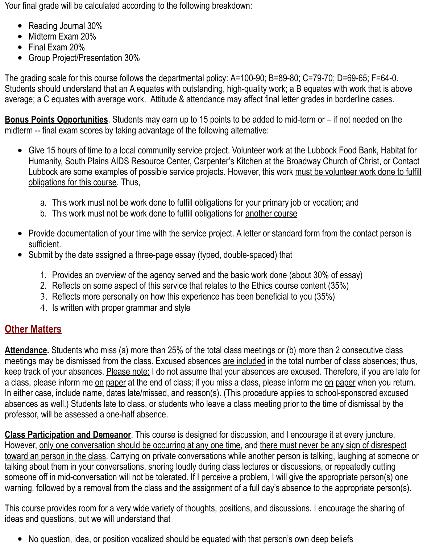Your final grade will be calculated according to the following breakdown:

- Reading Journal 30%
- Midterm Exam 20%
- Final Exam 20%
- Group Project/Presentation 30%

The grading scale for this course follows the departmental policy: A=100-90; B=89-80; C=79-70; D=69-65; F=64-0. Students should understand that an A equates with outstanding, high-quality work; a B equates with work that is above average; a C equates with average work. Attitude & attendance may affect final letter grades in borderline cases.

**Bonus Points Opportunities**. Students may earn up to 15 points to be added to mid-term or – if not needed on the midterm -- final exam scores by taking advantage of the following alternative:

- Give 15 hours of time to a local community service project. Volunteer work at the Lubbock Food Bank, Habitat for Humanity, South Plains AIDS Resource Center, Carpenter's Kitchen at the Broadway Church of Christ, or Contact Lubbock are some examples of possible service projects. However, this work must be volunteer work done to fulfill obligations for this course. Thus,
	- a. This work must not be work done to fulfill obligations for your primary job or vocation; and
	- b. This work must not be work done to fulfill obligations for another course
- Provide documentation of your time with the service project. A letter or standard form from the contact person is sufficient.
- Submit by the date assigned a three-page essay (typed, double-spaced) that
	- 1. Provides an overview of the agency served and the basic work done (about 30% of essay)
	- 2. Reflects on some aspect of this service that relates to the Ethics course content (35%)
	- 3. Reflects more personally on how this experience has been beneficial to you (35%)
	- 4. Is written with proper grammar and style

## **Other Matters**

**Attendance.** Students who miss (a) more than 25% of the total class meetings or (b) more than 2 consecutive class meetings may be dismissed from the class. Excused absences are included in the total number of class absences; thus, keep track of your absences. Please note: I do not assume that your absences are excused. Therefore, if you are late for a class, please inform me on paper at the end of class; if you miss a class, please inform me on paper when you return. In either case, include name, dates late/missed, and reason(s). (This procedure applies to school-sponsored excused absences as well.) Students late to class, or students who leave a class meeting prior to the time of dismissal by the professor, will be assessed a one-half absence.

**Class Participation and Demeanor**. This course is designed for discussion, and I encourage it at every juncture. However, only one conversation should be occurring at any one time, and there must never be any sign of disrespect toward an person in the class. Carrying on private conversations while another person is talking, laughing at someone or talking about them in your conversations, snoring loudly during class lectures or discussions, or repeatedly cutting someone off in mid-conversation will not be tolerated. If I perceive a problem, I will give the appropriate person(s) one warning, followed by a removal from the class and the assignment of a full day's absence to the appropriate person(s).

This course provides room for a very wide variety of thoughts, positions, and discussions. I encourage the sharing of ideas and questions, but we will understand that

• No question, idea, or position vocalized should be equated with that person's own deep beliefs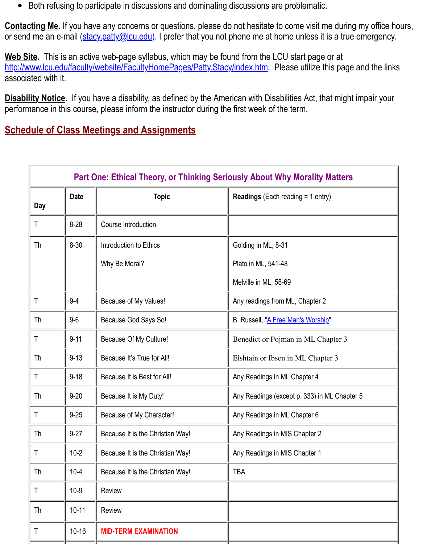associated with it.

Disability Notice. If you have a disability, as defined by the American with Disabilities Act, that might im performance in this co[urse, please inform th](mailto:stacy.patty@lcu.edu%29)e instructor during the first week of the term.

# **Schedule of Class Meetings and Assignments**

<span id="page-3-0"></span>

| <b>Part One: Ethical Theory, or Thinking Seriously About Why Morality Matters</b> |             |                                  |                                              |  |  |
|-----------------------------------------------------------------------------------|-------------|----------------------------------|----------------------------------------------|--|--|
| <b>Day</b>                                                                        | <b>Date</b> | <b>Topic</b>                     | <b>Readings</b> (Each reading $= 1$ entry)   |  |  |
| T                                                                                 | $8 - 28$    | Course Introduction              |                                              |  |  |
| Th                                                                                | $8 - 30$    | Introduction to Ethics           | Golding in ML, 8-31                          |  |  |
|                                                                                   |             | Why Be Moral?                    | Plato in ML, 541-48                          |  |  |
|                                                                                   |             |                                  | Melville in ML, 58-69                        |  |  |
| T                                                                                 | $9 - 4$     | Because of My Values!            | Any readings from ML, Chapter 2              |  |  |
| Th                                                                                | $9-6$       | Because God Says So!             | B. Russell, "A Free Man's Worship"           |  |  |
| Τ                                                                                 | $9 - 11$    | Because Of My Culture!           | Benedict or Pojman in ML Chapter 3           |  |  |
| Th                                                                                | $9 - 13$    | Because It's True for All!       | Elshtain or Ibsen in ML Chapter 3            |  |  |
| T                                                                                 | $9 - 18$    | Because It is Best for All!      | Any Readings in ML Chapter 4                 |  |  |
| Th                                                                                | $9 - 20$    | Because It is My Duty!           | Any Readings (except p. 333) in ML Chapter 5 |  |  |
| Τ                                                                                 | $9 - 25$    | Because of My Character!         | Any Readings in ML Chapter 6                 |  |  |
| Th                                                                                | $9 - 27$    | Because It is the Christian Way! | Any Readings in MIS Chapter 2                |  |  |
| Τ                                                                                 | $10 - 2$    | Because It is the Christian Way! | Any Readings in MIS Chapter 1                |  |  |
| Th                                                                                | $10 - 4$    | Because It is the Christian Way! | <b>TBA</b>                                   |  |  |
| Τ                                                                                 | $10-9$      | <b>Review</b>                    |                                              |  |  |
| Th                                                                                | $10 - 11$   | <b>Review</b>                    |                                              |  |  |
| Τ                                                                                 | $10 - 16$   | <b>MID-TERM EXAMINATION</b>      |                                              |  |  |
|                                                                                   |             |                                  |                                              |  |  |